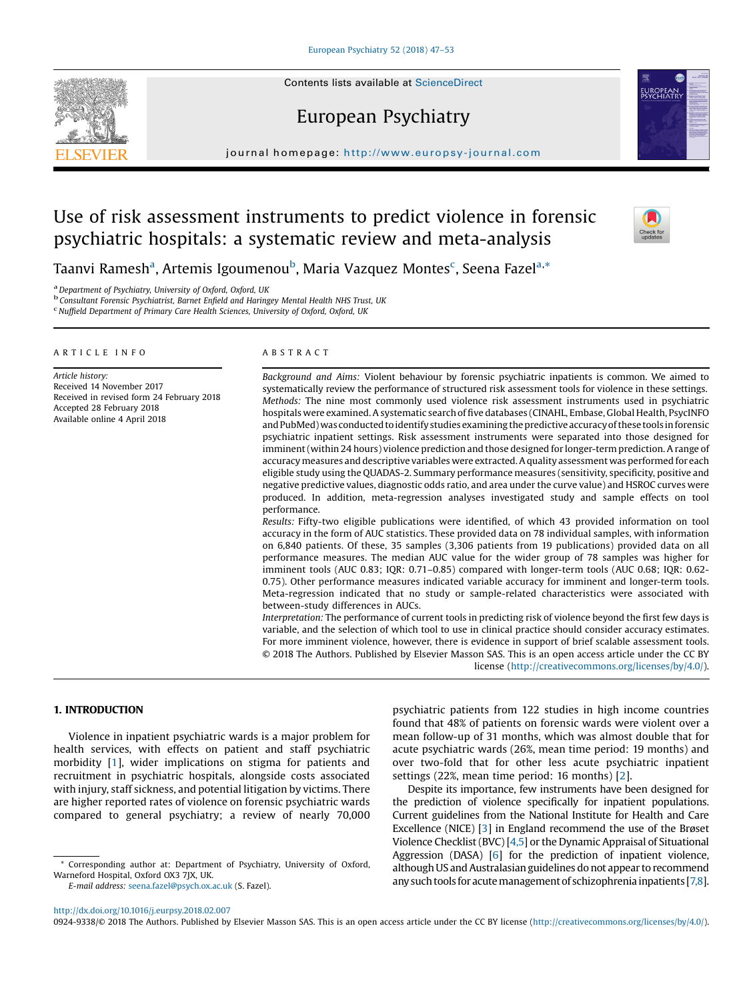# European Psychiatry

journal homepage: <http://www.europsy-journal.com>

# Use of risk assessment instruments to predict violence in forensic psychiatric hospitals: a systematic review and meta-analysis

Taanvi Ramesh<sup>a</sup>, Artemis Igoumenou<sup>b</sup>, Maria Vazquez Montes<sup>c</sup>, Seena Fazel<sup>a,</sup>\*

<sup>a</sup> Department of Psychiatry, University of Oxford, Oxford, UK<br><sup>b</sup> Consultant Forensic Psychiatrist, Barnet Enfield and Haringey Mental Health NHS Trust, UK

Nuffield Department of Primary Care Health Sciences, University of Oxford, Oxford, UK

# A R T I C L E I N F O

Article history: Received 14 November 2017 Received in revised form 24 February 2018 Accepted 28 February 2018 Available online 4 April 2018

# A B S T R A C T

Background and Aims: Violent behaviour by forensic psychiatric inpatients is common. We aimed to systematically review the performance of structured risk assessment tools for violence in these settings. Methods: The nine most commonly used violence risk assessment instruments used in psychiatric hospitals were examined. Asystematic search of five databases (CINAHL, Embase, Global Health, PsycINFO and PubMed) was conducted to identify studies examining the predictive accuracy of these tools in forensic psychiatric inpatient settings. Risk assessment instruments were separated into those designed for imminent (within 24 hours) violence prediction and those designed for longer-term prediction. A range of accuracy measures and descriptive variables were extracted.Aquality assessment was performed for each eligible study using the QUADAS-2. Summary performance measures (sensitivity, specificity, positive and negative predictive values, diagnostic odds ratio, and area under the curve value) and HSROC curves were produced. In addition, meta-regression analyses investigated study and sample effects on tool performance.

Results: Fifty-two eligible publications were identified, of which 43 provided information on tool accuracy in the form of AUC statistics. These provided data on 78 individual samples, with information on 6,840 patients. Of these, 35 samples (3,306 patients from 19 publications) provided data on all performance measures. The median AUC value for the wider group of 78 samples was higher for imminent tools (AUC 0.83; IQR: 0.71–0.85) compared with longer-term tools (AUC 0.68; IQR: 0.62- 0.75). Other performance measures indicated variable accuracy for imminent and longer-term tools. Meta-regression indicated that no study or sample-related characteristics were associated with between-study differences in AUCs.

Interpretation: The performance of current tools in predicting risk of violence beyond the first few days is variable, and the selection of which tool to use in clinical practice should consider accuracy estimates. For more imminent violence, however, there is evidence in support of brief scalable assessment tools. © 2018 The Authors. Published by Elsevier Masson SAS. This is an open access article under the CC BY license [\(http://creativecommons.org/licenses/by/4.0/](http://creativecommons.org/licenses/by-nc-nd/4.0/)).

# 1. INTRODUCTION

Violence in inpatient psychiatric wards is a major problem for health services, with effects on patient and staff psychiatric morbidity [\[1](#page-6-0)], wider implications on stigma for patients and recruitment in psychiatric hospitals, alongside costs associated with injury, staff sickness, and potential litigation by victims. There are higher reported rates of violence on forensic psychiatric wards compared to general psychiatry; a review of nearly 70,000

Corresponding author at: Department of Psychiatry, University of Oxford, Warneford Hospital, Oxford OX3 7JX, UK.

E-mail address: [seena.fazel@psych.ox.ac.uk](mailto:seena.fazel@psych.ox.ac.uk) (S. Fazel).

psychiatric patients from 122 studies in high income countries found that 48% of patients on forensic wards were violent over a mean follow-up of 31 months, which was almost double that for acute psychiatric wards (26%, mean time period: 19 months) and over two-fold that for other less acute psychiatric inpatient settings (22%, mean time period: 16 months) [[2](#page-6-0)].

Despite its importance, few instruments have been designed for the prediction of violence specifically for inpatient populations. Current guidelines from the National Institute for Health and Care Excellence (NICE) [\[3](#page-6-0)] in England recommend the use of the Brøset Violence Checklist(BVC) [[4,5\]](#page-6-0) or the Dynamic Appraisal of Situational Aggression (DASA) [\[6](#page-6-0)] for the prediction of inpatient violence, although US and Australasian guidelines do not appear to recommend any such tools for acute management of schizophrenia inpatients [\[7,8\]](#page-6-0).

0924-9338/© 2018 The Authors. Published by Elsevier Masson SAS. This is an open access article under the CC BY license ([http://creativecommons.org/licenses/by/4.0/\)](http://creativecommons.org/licenses/by-nc-nd/4.0/).



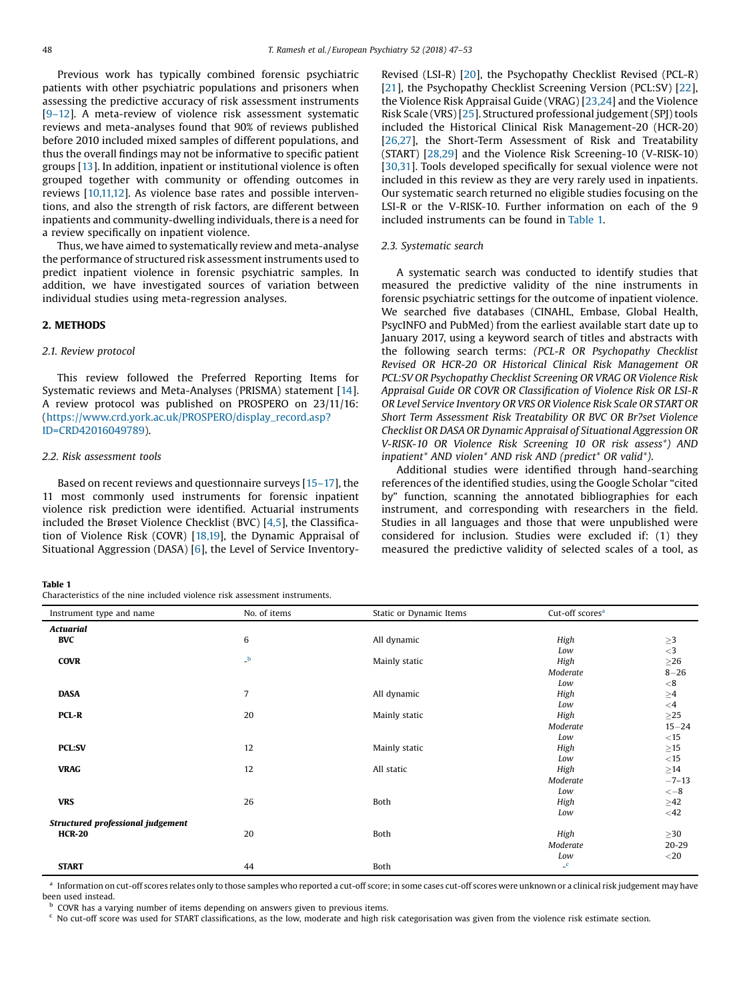Previous work has typically combined forensic psychiatric patients with other psychiatric populations and prisoners when assessing the predictive accuracy of risk assessment instruments [9–[12\]](#page-6-0). A meta-review of violence risk assessment systematic reviews and meta-analyses found that 90% of reviews published before 2010 included mixed samples of different populations, and thus the overall findings may not be informative to specific patient groups [[13](#page-6-0)]. In addition, inpatient or institutional violence is often grouped together with community or offending outcomes in reviews [[10,11,12\]](#page-6-0). As violence base rates and possible interventions, and also the strength of risk factors, are different between inpatients and community-dwelling individuals, there is a need for a review specifically on inpatient violence.

Thus, we have aimed to systematically review and meta-analyse the performance of structured risk assessment instruments used to predict inpatient violence in forensic psychiatric samples. In addition, we have investigated sources of variation between individual studies using meta-regression analyses.

# 2. METHODS

### 2.1. Review protocol

This review followed the Preferred Reporting Items for Systematic reviews and Meta-Analyses (PRISMA) statement [\[14\]](#page-6-0). A review protocol was published on PROSPERO on 23/11/16: ([https://www.crd.york.ac.uk/PROSPERO/display\\_record.asp?](https://www.crd.york.ac.uk/PROSPERO/display_record.asp?ID=CRD42016049789) [ID=CRD42016049789\)](https://www.crd.york.ac.uk/PROSPERO/display_record.asp?ID=CRD42016049789).

# 2.2. Risk assessment tools

Based on recent reviews and questionnaire surveys [15–[17\]](#page-6-0), the 11 most commonly used instruments for forensic inpatient violence risk prediction were identified. Actuarial instruments included the Brøset Violence Checklist (BVC) [[4,5](#page-6-0)], the Classification of Violence Risk (COVR) [\[18,19](#page-6-0)], the Dynamic Appraisal of Situational Aggression (DASA) [\[6](#page-6-0)], the Level of Service Inventory-

#### Table 1

Characteristics of the nine included violence risk assessment instruments.

Revised (LSI-R) [\[20\]](#page-6-0), the Psychopathy Checklist Revised (PCL-R) [[21](#page-6-0)], the Psychopathy Checklist Screening Version (PCL:SV) [[22\]](#page-6-0), the Violence Risk Appraisal Guide (VRAG) [[23,24\]](#page-6-0) and the Violence Risk Scale (VRS) [[25](#page-6-0)]. Structured professional judgement(SPJ) tools included the Historical Clinical Risk Management-20 (HCR-20) [[26,27\]](#page-6-0), the Short-Term Assessment of Risk and Treatability (START) [\[28,29](#page-6-0)] and the Violence Risk Screening-10 (V-RISK-10) [[30,31](#page-6-0)]. Tools developed specifically for sexual violence were not included in this review as they are very rarely used in inpatients. Our systematic search returned no eligible studies focusing on the LSI-R or the V-RISK-10. Further information on each of the 9 included instruments can be found in Table 1.

## 2.3. Systematic search

A systematic search was conducted to identify studies that measured the predictive validity of the nine instruments in forensic psychiatric settings for the outcome of inpatient violence. We searched five databases (CINAHL, Embase, Global Health, PsycINFO and PubMed) from the earliest available start date up to January 2017, using a keyword search of titles and abstracts with the following search terms: (PCL-R OR Psychopathy Checklist Revised OR HCR-20 OR Historical Clinical Risk Management OR PCL:SV OR Psychopathy Checklist Screening OR VRAG OR Violence Risk Appraisal Guide OR COVR OR Classification of Violence Risk OR LSI-R OR Level Service Inventory OR VRS OR Violence Risk Scale OR START OR Short Term Assessment Risk Treatability OR BVC OR Br?set Violence Checklist OR DASA OR Dynamic Appraisal of Situational Aggression OR V-RISK-10 OR Violence Risk Screening 10 OR risk assess\*) AND inpatient\* AND violen\* AND risk AND (predict\* OR valid\*).

Additional studies were identified through hand-searching references of the identified studies, using the Google Scholar "cited by" function, scanning the annotated bibliographies for each instrument, and corresponding with researchers in the field. Studies in all languages and those that were unpublished were considered for inclusion. Studies were excluded if: (1) they measured the predictive validity of selected scales of a tool, as

| Instrument type and name          | No. of items | Static or Dynamic Items | Cut-off scores <sup>a</sup> |                        |
|-----------------------------------|--------------|-------------------------|-----------------------------|------------------------|
| <b>Actuarial</b>                  |              |                         |                             |                        |
| <b>BVC</b>                        | 6            | All dynamic             | High                        | ${\geq}3$              |
|                                   |              |                         | Low                         | ${<}3$                 |
| <b>COVR</b>                       | $\mathbf{b}$ | Mainly static           | High                        | ${\geq}26$             |
|                                   |              |                         | Moderate                    | $8 - 26$               |
|                                   |              |                         | Low                         | $<\!8$                 |
| <b>DASA</b>                       | 7            | All dynamic             | High                        | $\underset{<4}{\geq}4$ |
|                                   |              |                         | Low                         |                        |
| PCL-R                             | 20           | Mainly static           | High                        | ${\geq}25$             |
|                                   |              |                         | Moderate                    | $15 - 24$              |
|                                   |              |                         | Low                         | $<$ 15                 |
| <b>PCL:SV</b>                     | 12           | Mainly static           | High                        | $\geq$ 15              |
|                                   |              |                         | Low                         | $<15$                  |
| <b>VRAG</b>                       | 12           | All static              | High                        | ${\geq}14$             |
|                                   |              |                         | Moderate                    | $-7-13$                |
|                                   |              |                         | Low                         | $<-8$                  |
| <b>VRS</b>                        | 26           | Both                    | High                        | $\geq$ 42              |
|                                   |              |                         | Low                         | $<$ 42                 |
| Structured professional judgement |              |                         |                             |                        |
| <b>HCR-20</b>                     | 20           | Both                    | High                        | $\geq$ 30              |
|                                   |              |                         | Moderate                    | $20 - 29$              |
|                                   |              |                         | Low                         | $<$ 20                 |
| <b>START</b>                      | 44           | Both                    | $\mathbf{C}$                |                        |

a Information on cut-off scores relates only to those samples who reported a cut-off score; in some cases cut-off scores were unknown or a clinical risk judgement may have been used instead.

 $<sup>b</sup>$  COVR has a varying number of items depending on answers given to previous items.</sup>

 $c$  No cut-off score was used for START classifications, as the low, moderate and high risk categorisation was given from the violence risk estimate section.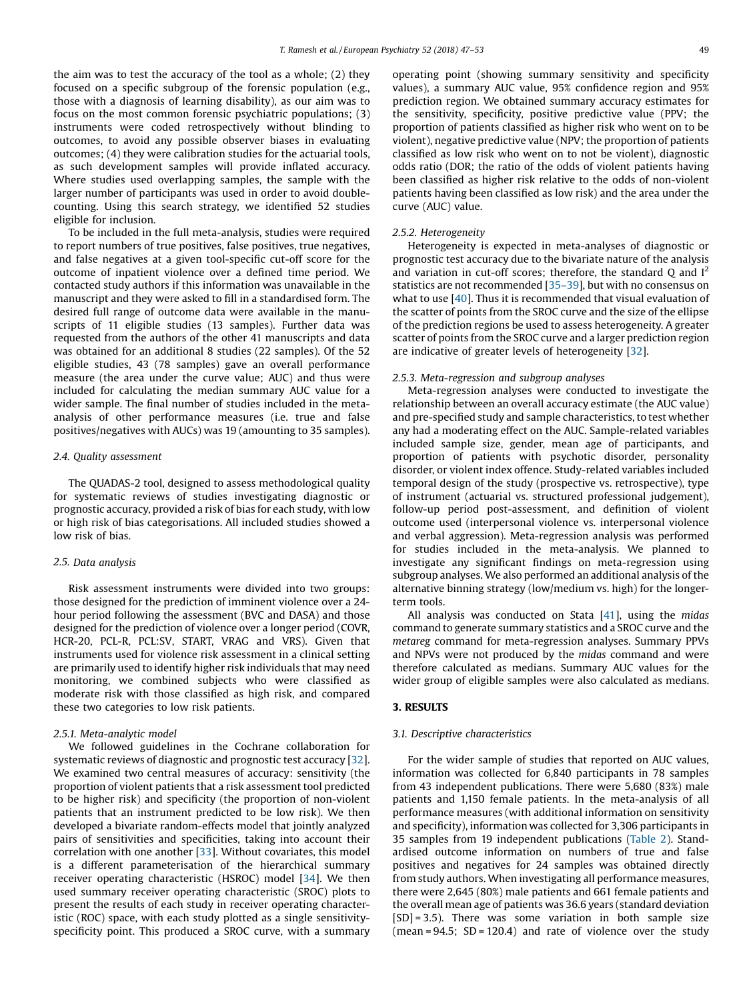the aim was to test the accuracy of the tool as a whole; (2) they focused on a specific subgroup of the forensic population (e.g., those with a diagnosis of learning disability), as our aim was to focus on the most common forensic psychiatric populations; (3) instruments were coded retrospectively without blinding to outcomes, to avoid any possible observer biases in evaluating outcomes; (4) they were calibration studies for the actuarial tools, as such development samples will provide inflated accuracy. Where studies used overlapping samples, the sample with the larger number of participants was used in order to avoid doublecounting. Using this search strategy, we identified 52 studies eligible for inclusion.

To be included in the full meta-analysis, studies were required to report numbers of true positives, false positives, true negatives, and false negatives at a given tool-specific cut-off score for the outcome of inpatient violence over a defined time period. We contacted study authors if this information was unavailable in the manuscript and they were asked to fill in a standardised form. The desired full range of outcome data were available in the manuscripts of 11 eligible studies (13 samples). Further data was requested from the authors of the other 41 manuscripts and data was obtained for an additional 8 studies (22 samples). Of the 52 eligible studies, 43 (78 samples) gave an overall performance measure (the area under the curve value; AUC) and thus were included for calculating the median summary AUC value for a wider sample. The final number of studies included in the metaanalysis of other performance measures (i.e. true and false positives/negatives with AUCs) was 19 (amounting to 35 samples).

# 2.4. Quality assessment

The QUADAS-2 tool, designed to assess methodological quality for systematic reviews of studies investigating diagnostic or prognostic accuracy, provided a risk of bias for each study, with low or high risk of bias categorisations. All included studies showed a low risk of bias.

#### 2.5. Data analysis

Risk assessment instruments were divided into two groups: those designed for the prediction of imminent violence over a 24 hour period following the assessment (BVC and DASA) and those designed for the prediction of violence over a longer period (COVR, HCR-20, PCL-R, PCL:SV, START, VRAG and VRS). Given that instruments used for violence risk assessment in a clinical setting are primarily used to identify higher risk individuals that may need monitoring, we combined subjects who were classified as moderate risk with those classified as high risk, and compared these two categories to low risk patients.

### 2.5.1. Meta-analytic model

We followed guidelines in the Cochrane collaboration for systematic reviews of diagnostic and prognostic test accuracy [[32](#page-6-0)]. We examined two central measures of accuracy: sensitivity (the proportion of violent patients that a risk assessment tool predicted to be higher risk) and specificity (the proportion of non-violent patients that an instrument predicted to be low risk). We then developed a bivariate random-effects model that jointly analyzed pairs of sensitivities and specificities, taking into account their correlation with one another [\[33](#page-6-0)]. Without covariates, this model is a different parameterisation of the hierarchical summary receiver operating characteristic (HSROC) model [[34](#page-6-0)]. We then used summary receiver operating characteristic (SROC) plots to present the results of each study in receiver operating characteristic (ROC) space, with each study plotted as a single sensitivityspecificity point. This produced a SROC curve, with a summary

operating point (showing summary sensitivity and specificity values), a summary AUC value, 95% confidence region and 95% prediction region. We obtained summary accuracy estimates for the sensitivity, specificity, positive predictive value (PPV; the proportion of patients classified as higher risk who went on to be violent), negative predictive value (NPV; the proportion of patients classified as low risk who went on to not be violent), diagnostic odds ratio (DOR; the ratio of the odds of violent patients having been classified as higher risk relative to the odds of non-violent patients having been classified as low risk) and the area under the curve (AUC) value.

# 2.5.2. Heterogeneity

Heterogeneity is expected in meta-analyses of diagnostic or prognostic test accuracy due to the bivariate nature of the analysis and variation in cut-off scores; therefore, the standard  $Q$  and  $I<sup>2</sup>$ statistics are not recommended [\[35](#page-6-0)–39], but with no consensus on what to use [[40](#page-6-0)]. Thus it is recommended that visual evaluation of the scatter of points from the SROC curve and the size of the ellipse of the prediction regions be used to assess heterogeneity. A greater scatter of points from the SROC curve and a larger prediction region are indicative of greater levels of heterogeneity [\[32\]](#page-6-0).

#### 2.5.3. Meta-regression and subgroup analyses

Meta-regression analyses were conducted to investigate the relationship between an overall accuracy estimate (the AUC value) and pre-specified study and sample characteristics, to test whether any had a moderating effect on the AUC. Sample-related variables included sample size, gender, mean age of participants, and proportion of patients with psychotic disorder, personality disorder, or violent index offence. Study-related variables included temporal design of the study (prospective vs. retrospective), type of instrument (actuarial vs. structured professional judgement), follow-up period post-assessment, and definition of violent outcome used (interpersonal violence vs. interpersonal violence and verbal aggression). Meta-regression analysis was performed for studies included in the meta-analysis. We planned to investigate any significant findings on meta-regression using subgroup analyses. We also performed an additional analysis of the alternative binning strategy (low/medium vs. high) for the longerterm tools.

All analysis was conducted on Stata  $[41]$  $[41]$  $[41]$ , using the midas command to generate summary statistics and a SROC curve and the metareg command for meta-regression analyses. Summary PPVs and NPVs were not produced by the midas command and were therefore calculated as medians. Summary AUC values for the wider group of eligible samples were also calculated as medians.

# 3. RESULTS

# 3.1. Descriptive characteristics

For the wider sample of studies that reported on AUC values, information was collected for 6,840 participants in 78 samples from 43 independent publications. There were 5,680 (83%) male patients and 1,150 female patients. In the meta-analysis of all performance measures (with additional information on sensitivity and specificity), information was collected for 3,306 participants in 35 samples from 19 independent publications [\(Table](#page-3-0) 2). Standardised outcome information on numbers of true and false positives and negatives for 24 samples was obtained directly from study authors. When investigating all performance measures, there were 2,645 (80%) male patients and 661 female patients and the overall mean age of patients was 36.6 years (standard deviation  $[SD] = 3.5$ ). There was some variation in both sample size  $(mean = 94.5; SD = 120.4)$  and rate of violence over the study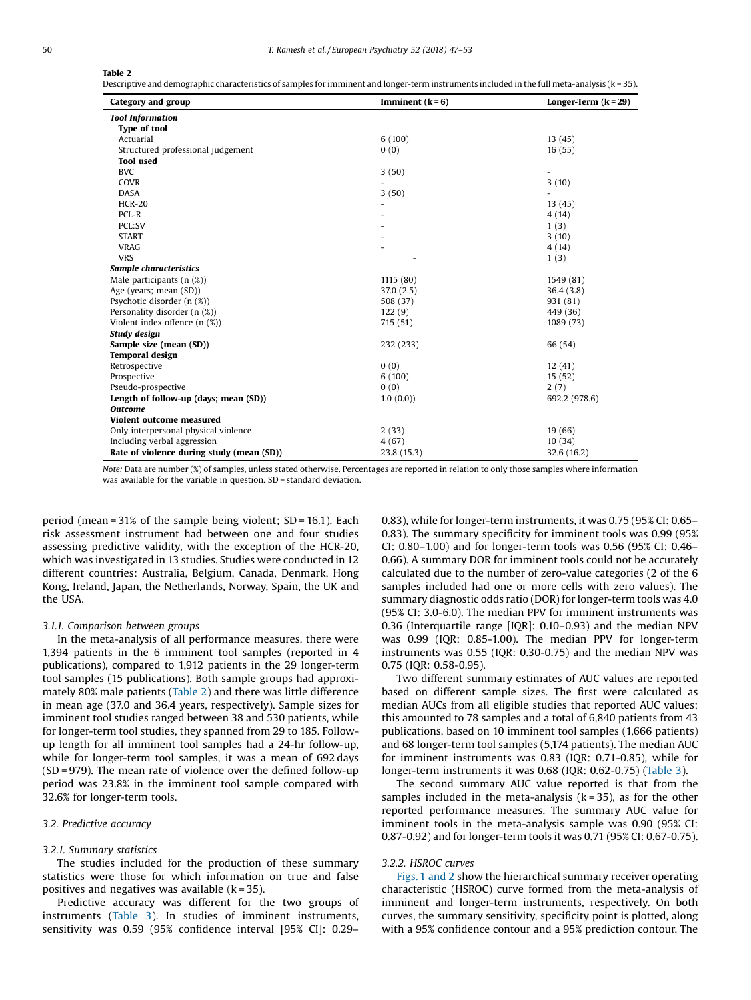# <span id="page-3-0"></span>Table 2

Descriptive and demographic characteristics of samples for imminent and longer-term instruments included in the full meta-analysis (k = 35).

| Category and group                        | Imminent $(k=6)$ | Longer-Term $(k = 29)$ |
|-------------------------------------------|------------------|------------------------|
| <b>Tool Information</b>                   |                  |                        |
| <b>Type of tool</b>                       |                  |                        |
| Actuarial                                 | 6(100)           | 13(45)                 |
| Structured professional judgement         | 0(0)             | 16(55)                 |
| <b>Tool</b> used                          |                  |                        |
| <b>BVC</b>                                | 3(50)            |                        |
| COVR                                      |                  | 3(10)                  |
| <b>DASA</b>                               | 3(50)            |                        |
| <b>HCR-20</b>                             |                  | 13(45)                 |
| PCL-R                                     |                  | 4(14)                  |
| PCL:SV                                    |                  | 1(3)                   |
| <b>START</b>                              |                  | 3(10)                  |
| <b>VRAG</b>                               |                  | 4(14)                  |
| <b>VRS</b>                                |                  | 1(3)                   |
| Sample characteristics                    |                  |                        |
| Male participants $(n %)$                 | 1115 (80)        | 1549 (81)              |
| Age (years; mean (SD))                    | 37.0(2.5)        | 36.4(3.8)              |
| Psychotic disorder (n (%))                | 508 (37)         | 931 (81)               |
| Personality disorder (n (%))              | 122(9)           | 449 (36)               |
| Violent index offence $(n$ $(\%)$         | 715 (51)         | 1089 (73)              |
| Study design                              |                  |                        |
| Sample size (mean (SD))                   | 232 (233)        | 66 (54)                |
| <b>Temporal design</b>                    |                  |                        |
| Retrospective                             | 0(0)             | 12(41)                 |
| Prospective                               | 6(100)           | 15(52)                 |
| Pseudo-prospective                        | 0(0)             | 2(7)                   |
| Length of follow-up (days; mean (SD))     | 1.0(0.0)         | 692.2 (978.6)          |
| <b>Outcome</b>                            |                  |                        |
| Violent outcome measured                  |                  |                        |
| Only interpersonal physical violence      | 2(33)            | 19(66)                 |
| Including verbal aggression               | 4(67)            | 10(34)                 |
| Rate of violence during study (mean (SD)) | 23.8 (15.3)      | 32.6 (16.2)            |

Note: Data are number (%) of samples, unless stated otherwise. Percentages are reported in relation to only those samples where information was available for the variable in question. SD = standard deviation.

period (mean = 31% of the sample being violent; SD = 16.1). Each risk assessment instrument had between one and four studies assessing predictive validity, with the exception of the HCR-20, which was investigated in 13 studies. Studies were conducted in 12 different countries: Australia, Belgium, Canada, Denmark, Hong Kong, Ireland, Japan, the Netherlands, Norway, Spain, the UK and the USA.

# 3.1.1. Comparison between groups

In the meta-analysis of all performance measures, there were 1,394 patients in the 6 imminent tool samples (reported in 4 publications), compared to 1,912 patients in the 29 longer-term tool samples (15 publications). Both sample groups had approximately 80% male patients (Table 2) and there was little difference in mean age (37.0 and 36.4 years, respectively). Sample sizes for imminent tool studies ranged between 38 and 530 patients, while for longer-term tool studies, they spanned from 29 to 185. Followup length for all imminent tool samples had a 24-hr follow-up, while for longer-term tool samples, it was a mean of 692 days (SD = 979). The mean rate of violence over the defined follow-up period was 23.8% in the imminent tool sample compared with 32.6% for longer-term tools.

## 3.2. Predictive accuracy

## 3.2.1. Summary statistics

The studies included for the production of these summary statistics were those for which information on true and false positives and negatives was available  $(k = 35)$ .

Predictive accuracy was different for the two groups of instruments [\(Table](#page-4-0) 3). In studies of imminent instruments, sensitivity was 0.59 (95% confidence interval [95% CI]: 0.29–

0.83), while for longer-term instruments, it was 0.75 (95% CI: 0.65– 0.83). The summary specificity for imminent tools was 0.99 (95% CI: 0.80–1.00) and for longer-term tools was 0.56 (95% CI: 0.46– 0.66). A summary DOR for imminent tools could not be accurately calculated due to the number of zero-value categories (2 of the 6 samples included had one or more cells with zero values). The summary diagnostic odds ratio (DOR) for longer-term tools was 4.0 (95% CI: 3.0-6.0). The median PPV for imminent instruments was 0.36 (Interquartile range [IQR]: 0.10–0.93) and the median NPV was 0.99 (IQR: 0.85-1.00). The median PPV for longer-term instruments was 0.55 (IQR: 0.30-0.75) and the median NPV was 0.75 (IQR: 0.58-0.95).

Two different summary estimates of AUC values are reported based on different sample sizes. The first were calculated as median AUCs from all eligible studies that reported AUC values; this amounted to 78 samples and a total of 6,840 patients from 43 publications, based on 10 imminent tool samples (1,666 patients) and 68 longer-term tool samples (5,174 patients). The median AUC for imminent instruments was 0.83 (IQR: 0.71-0.85), while for longer-term instruments it was 0.68 (IQR: 0.62-0.75) [\(Table](#page-4-0) 3).

The second summary AUC value reported is that from the samples included in the meta-analysis  $(k = 35)$ , as for the other reported performance measures. The summary AUC value for imminent tools in the meta-analysis sample was 0.90 (95% CI: 0.87-0.92) and for longer-term tools it was 0.71 (95% CI: 0.67-0.75).

# 3.2.2. HSROC curves

[Figs.](#page-4-0) 1 and 2 show the hierarchical summary receiver operating characteristic (HSROC) curve formed from the meta-analysis of imminent and longer-term instruments, respectively. On both curves, the summary sensitivity, specificity point is plotted, along with a 95% confidence contour and a 95% prediction contour. The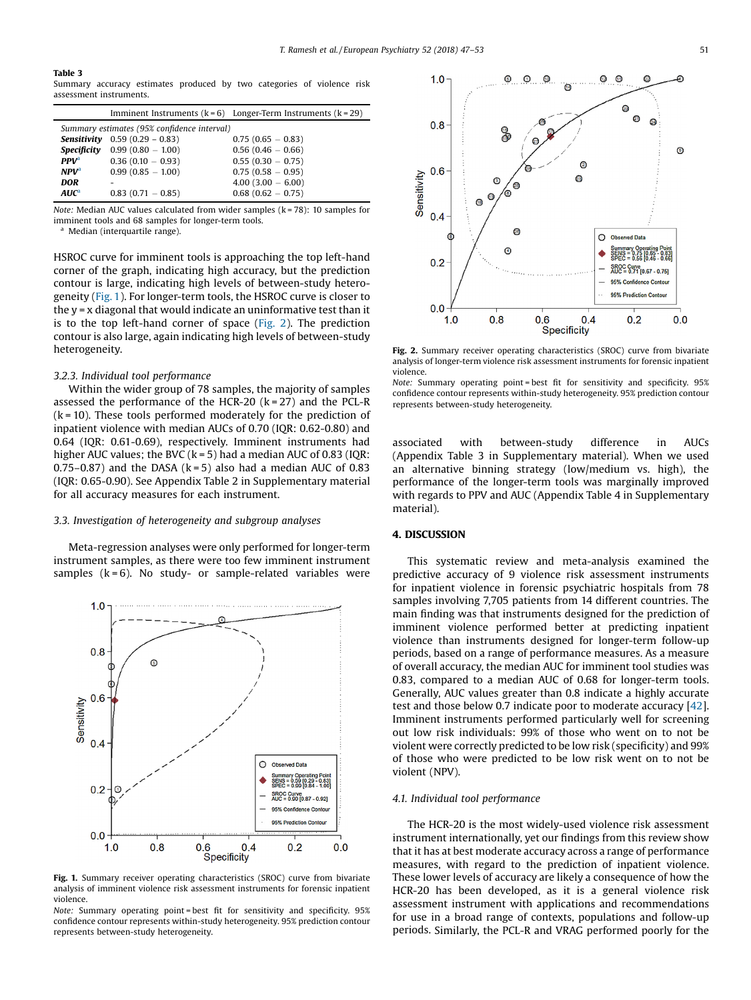### <span id="page-4-0"></span>Table 3

Summary accuracy estimates produced by two categories of violence risk assessment instruments.

|                                             |                                        | Imminent Instruments $(k = 6)$ Longer-Term Instruments $(k = 29)$ |  |  |  |
|---------------------------------------------|----------------------------------------|-------------------------------------------------------------------|--|--|--|
| Summary estimates (95% confidence interval) |                                        |                                                                   |  |  |  |
|                                             | <b>Sensitivity</b> $0.59(0.29 - 0.83)$ | $0.75(0.65 - 0.83)$                                               |  |  |  |
|                                             | <b>Specificity</b> $0.99(0.80 - 1.00)$ | $0.56(0.46-0.66)$                                                 |  |  |  |
| PPV <sup>a</sup>                            | $0.36(0.10 - 0.93)$                    | $0.55(0.30 - 0.75)$                                               |  |  |  |
| NPV <sup>a</sup>                            | $0.99(0.85 - 1.00)$                    | $0.75(0.58 - 0.95)$                                               |  |  |  |
| <b>DOR</b>                                  |                                        | $4.00(3.00 - 6.00)$                                               |  |  |  |
| $AUC^a$                                     | $0.83(0.71-0.85)$                      | $0.68(0.62 - 0.75)$                                               |  |  |  |

Note: Median AUC values calculated from wider samples ( $k = 78$ ): 10 samples for imminent tools and 68 samples for longer-term tools.

Median (interquartile range).

HSROC curve for imminent tools is approaching the top left-hand corner of the graph, indicating high accuracy, but the prediction contour is large, indicating high levels of between-study heterogeneity (Fig. 1). For longer-term tools, the HSROC curve is closer to the y = x diagonal that would indicate an uninformative test than it is to the top left-hand corner of space (Fig. 2). The prediction contour is also large, again indicating high levels of between-study heterogeneity.

# 3.2.3. Individual tool performance

Within the wider group of 78 samples, the majority of samples assessed the performance of the HCR-20  $(k = 27)$  and the PCL-R  $(k = 10)$ . These tools performed moderately for the prediction of inpatient violence with median AUCs of 0.70 (IQR: 0.62-0.80) and 0.64 (IQR: 0.61-0.69), respectively. Imminent instruments had higher AUC values; the BVC  $(k = 5)$  had a median AUC of 0.83 (IQR:  $0.75-0.87$ ) and the DASA (k = 5) also had a median AUC of 0.83 (IQR: 0.65-0.90). See Appendix Table 2 in Supplementary material for all accuracy measures for each instrument.

#### 3.3. Investigation of heterogeneity and subgroup analyses

Meta-regression analyses were only performed for longer-term instrument samples, as there were too few imminent instrument samples  $(k = 6)$ . No study- or sample-related variables were



Fig. 1. Summary receiver operating characteristics (SROC) curve from bivariate analysis of imminent violence risk assessment instruments for forensic inpatient violence.

Note: Summary operating point = best fit for sensitivity and specificity. 95% confidence contour represents within-study heterogeneity. 95% prediction contour represents between-study heterogeneity.



Fig. 2. Summary receiver operating characteristics (SROC) curve from bivariate analysis of longer-term violence risk assessment instruments for forensic inpatient violence.

Note: Summary operating point = best fit for sensitivity and specificity. 95% confidence contour represents within-study heterogeneity. 95% prediction contour represents between-study heterogeneity.

associated with between-study difference in AUCs (Appendix Table 3 in Supplementary material). When we used an alternative binning strategy (low/medium vs. high), the performance of the longer-term tools was marginally improved with regards to PPV and AUC (Appendix Table 4 in Supplementary material).

# 4. DISCUSSION

This systematic review and meta-analysis examined the predictive accuracy of 9 violence risk assessment instruments for inpatient violence in forensic psychiatric hospitals from 78 samples involving 7,705 patients from 14 different countries. The main finding was that instruments designed for the prediction of imminent violence performed better at predicting inpatient violence than instruments designed for longer-term follow-up periods, based on a range of performance measures. As a measure of overall accuracy, the median AUC for imminent tool studies was 0.83, compared to a median AUC of 0.68 for longer-term tools. Generally, AUC values greater than 0.8 indicate a highly accurate test and those below 0.7 indicate poor to moderate accuracy [[42](#page-6-0)]. Imminent instruments performed particularly well for screening out low risk individuals: 99% of those who went on to not be violent were correctly predicted to be low risk (specificity) and 99% of those who were predicted to be low risk went on to not be violent (NPV).

# 4.1. Individual tool performance

The HCR-20 is the most widely-used violence risk assessment instrument internationally, yet our findings from this review show that it has at best moderate accuracy across a range of performance measures, with regard to the prediction of inpatient violence. These lower levels of accuracy are likely a consequence of how the HCR-20 has been developed, as it is a general violence risk assessment instrument with applications and recommendations for use in a broad range of contexts, populations and follow-up periods. Similarly, the PCL-R and VRAG performed poorly for the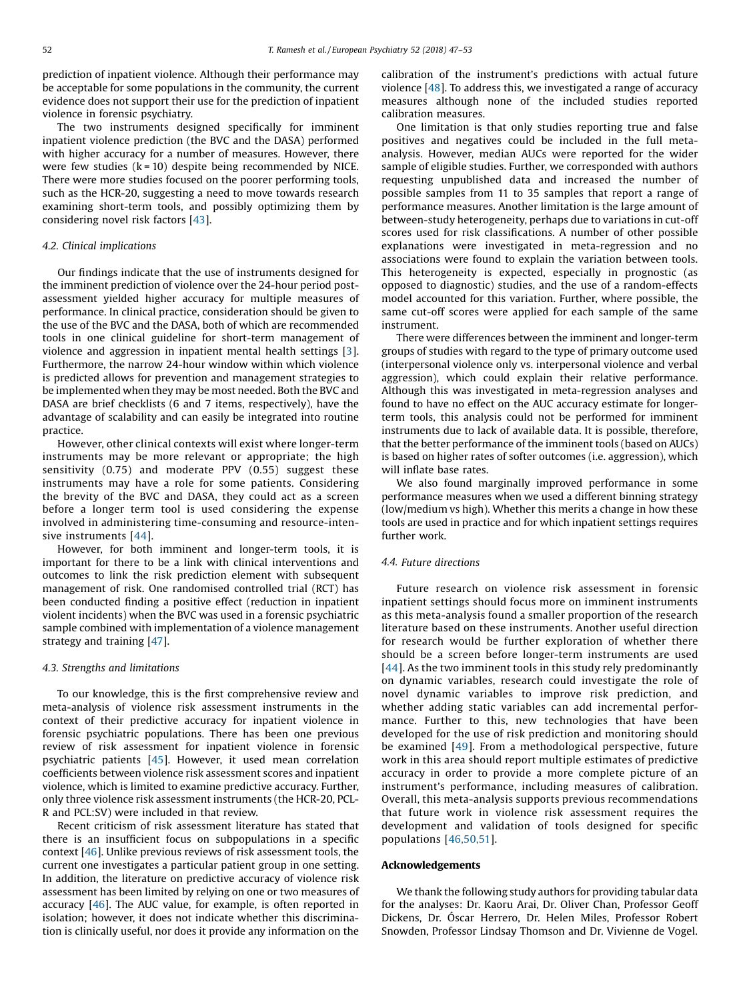prediction of inpatient violence. Although their performance may be acceptable for some populations in the community, the current evidence does not support their use for the prediction of inpatient violence in forensic psychiatry.

The two instruments designed specifically for imminent inpatient violence prediction (the BVC and the DASA) performed with higher accuracy for a number of measures. However, there were few studies  $(k = 10)$  despite being recommended by NICE. There were more studies focused on the poorer performing tools, such as the HCR-20, suggesting a need to move towards research examining short-term tools, and possibly optimizing them by considering novel risk factors [\[43](#page-6-0)].

# 4.2. Clinical implications

Our findings indicate that the use of instruments designed for the imminent prediction of violence over the 24-hour period postassessment yielded higher accuracy for multiple measures of performance. In clinical practice, consideration should be given to the use of the BVC and the DASA, both of which are recommended tools in one clinical guideline for short-term management of violence and aggression in inpatient mental health settings [[3\]](#page-6-0). Furthermore, the narrow 24-hour window within which violence is predicted allows for prevention and management strategies to be implemented when they may be most needed. Both the BVC and DASA are brief checklists (6 and 7 items, respectively), have the advantage of scalability and can easily be integrated into routine practice.

However, other clinical contexts will exist where longer-term instruments may be more relevant or appropriate; the high sensitivity (0.75) and moderate PPV (0.55) suggest these instruments may have a role for some patients. Considering the brevity of the BVC and DASA, they could act as a screen before a longer term tool is used considering the expense involved in administering time-consuming and resource-intensive instruments [\[44\]](#page-6-0).

However, for both imminent and longer-term tools, it is important for there to be a link with clinical interventions and outcomes to link the risk prediction element with subsequent management of risk. One randomised controlled trial (RCT) has been conducted finding a positive effect (reduction in inpatient violent incidents) when the BVC was used in a forensic psychiatric sample combined with implementation of a violence management strategy and training [\[47](#page-6-0)].

## 4.3. Strengths and limitations

To our knowledge, this is the first comprehensive review and meta-analysis of violence risk assessment instruments in the context of their predictive accuracy for inpatient violence in forensic psychiatric populations. There has been one previous review of risk assessment for inpatient violence in forensic psychiatric patients [\[45](#page-6-0)]. However, it used mean correlation coefficients between violence risk assessment scores and inpatient violence, which is limited to examine predictive accuracy. Further, only three violence risk assessment instruments (the HCR-20, PCL-R and PCL:SV) were included in that review.

Recent criticism of risk assessment literature has stated that there is an insufficient focus on subpopulations in a specific context [\[46](#page-6-0)]. Unlike previous reviews of risk assessment tools, the current one investigates a particular patient group in one setting. In addition, the literature on predictive accuracy of violence risk assessment has been limited by relying on one or two measures of accuracy [[46](#page-6-0)]. The AUC value, for example, is often reported in isolation; however, it does not indicate whether this discrimination is clinically useful, nor does it provide any information on the

calibration of the instrument's predictions with actual future violence [[48\]](#page-6-0). To address this, we investigated a range of accuracy measures although none of the included studies reported calibration measures.

One limitation is that only studies reporting true and false positives and negatives could be included in the full metaanalysis. However, median AUCs were reported for the wider sample of eligible studies. Further, we corresponded with authors requesting unpublished data and increased the number of possible samples from 11 to 35 samples that report a range of performance measures. Another limitation is the large amount of between-study heterogeneity, perhaps due to variations in cut-off scores used for risk classifications. A number of other possible explanations were investigated in meta-regression and no associations were found to explain the variation between tools. This heterogeneity is expected, especially in prognostic (as opposed to diagnostic) studies, and the use of a random-effects model accounted for this variation. Further, where possible, the same cut-off scores were applied for each sample of the same instrument.

There were differences between the imminent and longer-term groups of studies with regard to the type of primary outcome used (interpersonal violence only vs. interpersonal violence and verbal aggression), which could explain their relative performance. Although this was investigated in meta-regression analyses and found to have no effect on the AUC accuracy estimate for longerterm tools, this analysis could not be performed for imminent instruments due to lack of available data. It is possible, therefore, that the better performance of the imminent tools (based on AUCs) is based on higher rates of softer outcomes (i.e. aggression), which will inflate base rates.

We also found marginally improved performance in some performance measures when we used a different binning strategy (low/medium vs high). Whether this merits a change in how these tools are used in practice and for which inpatient settings requires further work.

#### 4.4. Future directions

Future research on violence risk assessment in forensic inpatient settings should focus more on imminent instruments as this meta-analysis found a smaller proportion of the research literature based on these instruments. Another useful direction for research would be further exploration of whether there should be a screen before longer-term instruments are used [[44](#page-6-0)]. As the two imminent tools in this study rely predominantly on dynamic variables, research could investigate the role of novel dynamic variables to improve risk prediction, and whether adding static variables can add incremental performance. Further to this, new technologies that have been developed for the use of risk prediction and monitoring should be examined [\[49](#page-6-0)]. From a methodological perspective, future work in this area should report multiple estimates of predictive accuracy in order to provide a more complete picture of an instrument's performance, including measures of calibration. Overall, this meta-analysis supports previous recommendations that future work in violence risk assessment requires the development and validation of tools designed for specific populations [[46,50,51](#page-6-0)].

## Acknowledgements

We thank the following study authors for providing tabular data for the analyses: Dr. Kaoru Arai, Dr. Oliver Chan, Professor Geoff Dickens, Dr. Óscar Herrero, Dr. Helen Miles, Professor Robert Snowden, Professor Lindsay Thomson and Dr. Vivienne de Vogel.